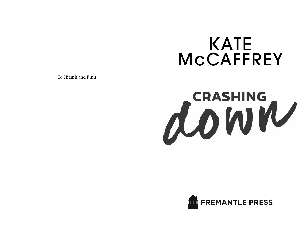# KATE **MCCAFFREY**

To Niamh and Finn

# CRASHING

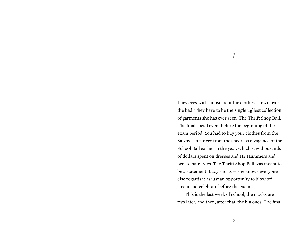Lucy eyes with amusement the clothes strewn over the bed. They have to be the single ugliest collection of garments she has ever seen. The Thrift Shop Ball. The final social event before the beginning of the exam period. You had to buy your clothes from the Salvos — a far cry from the sheer extravagance of the School Ball earlier in the year, which saw thousands of dollars spent on dresses and H2 Hummers and ornate hairstyles. The Thrift Shop Ball was meant to be a statement. Lucy snorts — she knows everyone else regards it as just an opportunity to blow off steam and celebrate before the exams.

*1*

This is the last week of school, the mocks are two later, and then, after that, the big ones. The final

*5*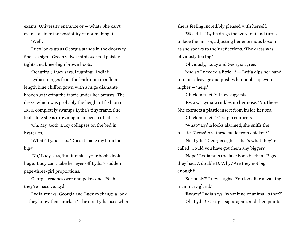exams. University entrance or — what? She can't even consider the possibility of not making it.

# 'Well?'

Lucy looks up as Georgia stands in the doorway. She is a sight. Green velvet mini over red paisley tights and knee-high brown boots.

'Beautiful,' Lucy says, laughing. 'Lydia?'

Lydia emerges from the bathroom in a floorlength blue chiffon gown with a huge diamanté brooch gathering the fabric under her breasts. The dress, which was probably the height of fashion in 1950, completely swamps Lydia's tiny frame. She looks like she is drowning in an ocean of fabric.

'Oh. My. God!' Lucy collapses on the bed in hysterics.

'What?' Lydia asks. 'Does it make my bum look big?'

'No,' Lucy says, 'but it makes your boobs look huge.' Lucy can't take her eyes off Lydia's sudden page-three-girl proportions.

Georgia reaches over and pokes one. 'Yeah, they're massive, Lyd.'

Lydia smirks. Georgia and Lucy exchange a look — they know that smirk. It's the one Lydia uses when she is feeling incredibly pleased with herself.

'Weeelll …' Lydia drags the word out and turns to face the mirror, adjusting her enormous bosom as she speaks to their reflections. 'The dress was obviously too big.'

'Obviously,' Lucy and Georgia agree.

'And so I needed a little …' — Lydia dips her hand into her cleavage and pushes her boobs up even higher — 'help.'

'Chicken fillets?' Lucy suggests.

'Ewww.' Lydia wrinkles up her nose. 'No, these.' She extracts a plastic insert from inside her bra.

'Chicken fillets,' Georgia confirms.

'What?' Lydia looks alarmed, she sniffs the plastic. 'Gross! Are these made from chicken?'

'No, Lydia.' Georgia sighs. 'That's what they're called. Could you have got them any bigger?'

'Nope.' Lydia puts the fake boob back in. 'Biggest they had. A double D. Why? Are they not big enough?'

'Seriously?' Lucy laughs. 'You look like a walking mammary gland.'

'Ewww,' Lydia says, 'what kind of animal is that?' 'Oh, Lydia!' Georgia sighs again, and then points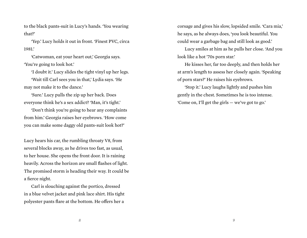to the black pants-suit in Lucy's hands. 'You wearing that?'

'Yep.' Lucy holds it out in front. 'Finest PVC, circa 1981.'

'Catwoman, eat your heart out,' Georgia says. 'You're going to look hot.'

'I doubt it.' Lucy slides the tight vinyl up her legs.

'Wait till Carl sees you in that,' Lydia says. 'He may not make it to the dance.'

'Sure.' Lucy pulls the zip up her back. Does everyone think he's a sex addict? 'Man, it's tight.'

'Don't think you're going to hear any complaints from him.' Georgia raises her eyebrows. 'How come you can make some daggy old pants-suit look hot?'

Lucy hears his car, the rumbling throaty V8, from several blocks away, as he drives too fast, as usual, to her house. She opens the front door. It is raining heavily. Across the horizon are small flashes of light. The promised storm is heading their way. It could be a fierce night.

Carl is slouching against the portico, dressed in a blue velvet jacket and pink lace shirt. His tight polyester pants flare at the bottom. He offers her a

corsage and gives his slow, lopsided smile. 'Cara mia,' he says, as he always does, 'you look beautiful. You could wear a garbage bag and still look as good.'

Lucy smiles at him as he pulls her close. 'And you look like a hot '70s porn star.'

He kisses her, far too deeply, and then holds her at arm's length to assess her closely again. 'Speaking of porn stars?' He raises his eyebrows.

'Stop it.' Lucy laughs lightly and pushes him gently in the chest. Sometimes he is too intense. 'Come on, I'll get the girls — we've got to go.'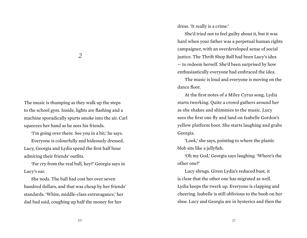# *2*

The music is thumping as they walk up the steps to the school gym. Inside, lights are flashing and a machine sporadically spurts smoke into the air. Carl squeezes her hand as he sees his friends.

'I'm going over there. See you in a bit,' he says.

Everyone is colourfully and hideously dressed. Lucy, Georgia and Lydia spend the first half hour admiring their friends' outfits.

'Far cry from the real ball, hey?' Georgia says in Lucy's ear.

She nods. The ball had cost her over seven hundred dollars, and that was cheap by her friends' standards. 'White, middle-class extravagance,' her dad had said, coughing up half the money for her

dress. 'It really is a crime.'

She'd tried not to feel guilty about it, but it was hard when your father was a perpetual human rights campaigner, with an overdeveloped sense of social justice. The Thrift Shop Ball had been Lucy's idea — to redeem herself. She'd been surprised by how enthusiastically everyone had embraced the idea.

The music is loud and everyone is moving on the dance floor.

At the first notes of a Miley Cyrus song, Lydia starts twerking. Quite a crowd gathers around her as she shakes and shimmies to the music. Lucy sees the first one fly and land on Isabelle Gordon's yellow platform boot. She starts laughing and grabs Georgia.

'Look,' she says, pointing to where the plastic blob sits like a jellyfish.

'Oh my God,' Georgia says laughing. 'Where's the other one?'

Lucy shrugs. Given Lydia's reduced bust, it is clear that the other one has migrated as well. Lydia keeps the twerk up. Everyone is clapping and cheering. Isabelle is still oblivious to the boob on her shoe. Lucy and Georgia are in hysterics and then the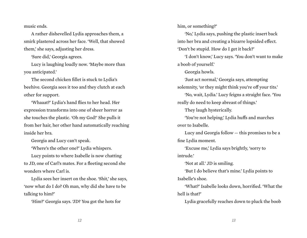music ends.

A rather dishevelled Lydia approaches them, a smirk plastered across her face. 'Well, that showed them,' she says, adjusting her dress.

'Sure did,' Georgia agrees.

Lucy is laughing loudly now. 'Maybe more than you anticipated.'

The second chicken fillet is stuck to Lydia's beehive. Georgia sees it too and they clutch at each other for support.

'Whaaat?' Lydia's hand flies to her head. Her expression transforms into one of sheer horror as she touches the plastic. 'Oh my God!' She pulls it from her hair, her other hand automatically reaching inside her bra.

Georgia and Lucy can't speak.

'Where's the other one?' Lydia whispers.

Lucy points to where Isabelle is now chatting to JD, one of Carl's mates. For a fleeting second she wonders where Carl is.

Lydia sees her insert on the shoe. 'Shit,' she says, 'now what do I do? Oh man, why did she have to be talking to him?'

'Him?' Georgia says. 'JD? You got the hots for

him, or something?'

'No,' Lydia says, pushing the plastic insert back into her bra and creating a bizarre lopsided effect. 'Don't be stupid. How do I get it back?'

'I don't know,' Lucy says. 'You don't want to make a boob of yourself.'

Georgia howls.

'Just act normal,' Georgia says, attempting solemnity, 'or they might think you're off your tits.'

'No, wait, Lydia.' Lucy feigns a straight face. 'You really do need to keep abreast of things.'

They laugh hysterically.

'You're not helping,' Lydia huffs and marches over to Isabelle.

Lucy and Georgia follow — this promises to be a fine Lydia moment.

'Excuse me,' Lydia says brightly, 'sorry to intrude.'

'Not at all.' JD is smiling.

'But I do believe that's mine.' Lydia points to Isabelle's shoe.

'What?' Isabelle looks down, horrified. 'What the hell is that?'

Lydia gracefully reaches down to pluck the boob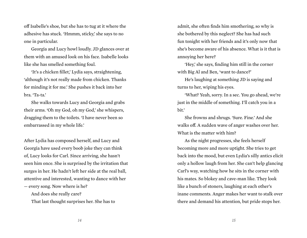off Isabelle's shoe, but she has to tug at it where the adhesive has stuck. 'Hmmm, sticky,' she says to no one in particular.

Georgia and Lucy howl loudly. JD glances over at them with an amused look on his face. Isabelle looks like she has smelled something foul.

'It's a chicken fillet,' Lydia says, straightening, 'although it's not really made from chicken. Thanks for minding it for me.' She pushes it back into her bra. 'Ta-ta.'

She walks towards Lucy and Georgia and grabs their arms. 'Oh my God, oh my God,' she whispers, dragging them to the toilets. 'I have never been so embarrassed in my whole life.'

After Lydia has composed herself, and Lucy and Georgia have used every boob joke they can think of, Lucy looks for Carl. Since arriving, she hasn't seen him once. She is surprised by the irritation that surges in her. He hadn't left her side at the real ball, attentive and interested, wanting to dance with her — every song. Now where is he?

And does she really care?

That last thought surprises her. She has to

admit, she often finds him smothering, so why is she bothered by this neglect? She has had such fun tonight with her friends and it's only now that she's become aware of his absence. What is it that is annoying her here?

'Hey,' she says, finding him still in the corner with Big Al and Ben, 'want to dance?'

He's laughing at something JD is saying and turns to her, wiping his eyes.

'What? Yeah, sorry. In a sec. You go ahead, we're just in the middle of something. I'll catch you in a bit.'

She frowns and shrugs. 'Sure. Fine.' And she walks off. A sudden wave of anger washes over her. What is the matter with him?

As the night progresses, she feels herself becoming more and more uptight. She tries to get back into the mood, but even Lydia's silly antics elicit only a hollow laugh from her. She can't help glancing Carl's way, watching how he sits in the corner with his mates. So blokey and cave-man like. They look like a bunch of stoners, laughing at each other's inane comments. Anger makes her want to stalk over there and demand his attention, but pride stops her.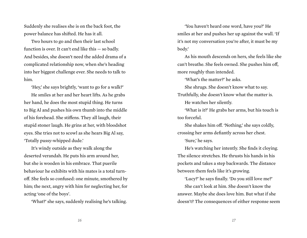Suddenly she realises she is on the back foot, the power balance has shifted. He has it all.

Two hours to go and then their last school function is over. It can't end like this — so badly. And besides, she doesn't need the added drama of a complicated relationship now, when she's heading into her biggest challenge ever. She needs to talk to him.

'Hey,' she says brightly, 'want to go for a walk?' He smiles at her and her heart lifts. As he grabs her hand, he does the most stupid thing. He turns to Big Al and pushes his own thumb into the middle of his forehead. She stiffens. They all laugh, their stupid stoner laugh. He grins at her, with bloodshot eyes. She tries not to scowl as she hears Big Al say, 'Totally pussy-whipped dude.'

It's windy outside as they walk along the deserted verandah. He puts his arm around her, but she is wooden in his embrace. That puerile behaviour he exhibits with his mates is a total turnoff. She feels so confused: one minute, smothered by him; the next, angry with him for neglecting her, for acting 'one of the boys'.

'What?' she says, suddenly realising he's talking.

'You haven't heard one word, have you?' He smiles at her and pushes her up against the wall. 'If it's not my conversation you're after, it must be my body.'

As his mouth descends on hers, she feels like she can't breathe. She feels owned. She pushes him off, more roughly than intended.

'What's the matter?' he asks.

She shrugs. She doesn't know what to say. Truthfully, she doesn't know what the matter is. He watches her silently.

'What is it?' He grabs her arms, but his touch is too forceful.

She shakes him off. 'Nothing,' she says coldly, crossing her arms defiantly across her chest. 'Sure,' he says.

He's watching her intently. She finds it cloying. The silence stretches. He thrusts his hands in his pockets and takes a step backwards. The distance between them feels like it's growing.

'Lucy?' he says finally. 'Do you still love me?' She can't look at him. She doesn't know the answer. Maybe she does love him. But what if she doesn't? The consequences of either response seem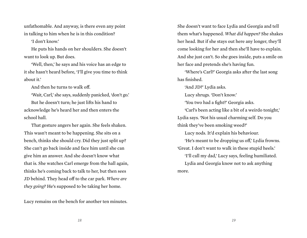unfathomable. And anyway, is there even any point in talking to him when he is in this condition?

'I don't know.'

He puts his hands on her shoulders. She doesn't want to look up. But does.

'Well, then,' he says and his voice has an edge to it she hasn't heard before, 'I'll give you time to think about it.'

And then he turns to walk off.

'Wait, Carl,' she says, suddenly panicked, 'don't go.' But he doesn't turn; he just lifts his hand to acknowledge he's heard her and then enters the school hall.

That gesture angers her again. She feels shaken. This wasn't meant to be happening. She sits on a bench, thinks she should cry. Did they just split up? She can't go back inside and face him until she can give him an answer. And she doesn't know what that is. She watches Carl emerge from the hall again, thinks he's coming back to talk to her, but then sees JD behind. They head off to the car park. *Where are they going?* He's supposed to be taking her home.

Lucy remains on the bench for another ten minutes.

She doesn't want to face Lydia and Georgia and tell them what's happened. *What did happen?* She shakes her head. But if she stays out here any longer, they'll come looking for her and then she'll have to explain. And she just can't. So she goes inside, puts a smile on her face and pretends she's having fun.

'Where's Carl?' Georgia asks after the last song has finished.

'And JD?' Lydia asks.

Lucy shrugs. 'Don't know.'

'You two had a fight?' Georgia asks.

'Carl's been acting like a bit of a weirdo tonight,' Lydia says. 'Not his usual charming self. Do you think they've been smoking weed?'

Lucy nods. It'd explain his behaviour.

'He's meant to be dropping us off,' Lydia frowns. 'Great. I don't want to walk in these stupid heels.'

'I'll call my dad,' Lucy says, feeling humiliated.

Lydia and Georgia know not to ask anything more.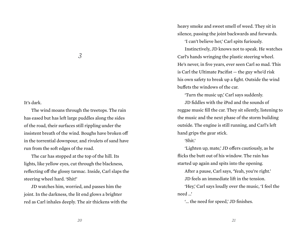*3*

### It's dark.

The wind moans through the treetops. The rain has eased but has left large puddles along the sides of the road, their surfaces still rippling under the insistent breath of the wind. Boughs have broken off in the torrential downpour, and rivulets of sand have run from the soft edges of the road.

The car has stopped at the top of the hill. Its lights, like yellow eyes, cut through the blackness, reflecting off the glossy tarmac. Inside, Carl slaps the steering wheel hard. 'Shit!'

JD watches him, worried, and passes him the joint. In the darkness, the lit end glows a brighter red as Carl inhales deeply. The air thickens with the heavy smoke and sweet smell of weed. They sit in silence, passing the joint backwards and forwards.

'I can't believe her,' Carl spits furiously.

Instinctively, JD knows not to speak. He watches Carl's hands wringing the plastic steering wheel. He's never, in five years, ever seen Carl so mad. This is Carl the Ultimate Pacifist — the guy who'd risk his own safety to break up a fight. Outside the wind buffets the windows of the car.

'Turn the music up,' Carl says suddenly.

JD fiddles with the iPod and the sounds of reggae music fill the car. They sit silently, listening to the music and the next phase of the storm building outside. The engine is still running, and Carl's left hand grips the gear stick.

## 'Shit.'

'Lighten up, mate,' JD offers cautiously, as he flicks the butt out of his window. The rain has started up again and spits into the opening.

After a pause, Carl says, 'Yeah, you're right.' JD feels an immediate lift in the tension.

'Hey,' Carl says loudly over the music, 'I feel the need …'

'… the need for speed,' JD finishes.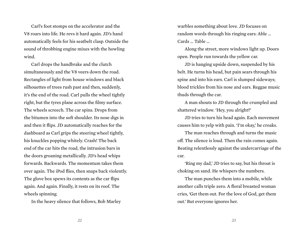Carl's foot stomps on the accelerator and the V8 roars into life. He revs it hard again. JD's hand automatically feels for his seatbelt clasp. Outside the sound of throbbing engine mixes with the howling wind.

Carl drops the handbrake and the clutch simultaneously and the V8 veers down the road. Rectangles of light from house windows and black silhouettes of trees rush past and then, suddenly, it's the end of the road. Carl pulls the wheel tightly right, but the tyres plane across the filmy surface. The wheels screech. The car spins. Drops from the bitumen into the soft shoulder. Its nose digs in and then it flips. JD automatically reaches for the dashboard as Carl grips the steering wheel tightly, his knuckles popping whitely. Crash! The back end of the car hits the road, the intrusion bars in the doors groaning metallically. JD's head whips forwards. Backwards. The momentum takes them over again. The iPod flies, then snaps back violently. The glove box spews its contents as the car flips again. And again. Finally, it rests on its roof. The wheels spinning.

In the heavy silence that follows, Bob Marley

warbles something about love. JD focuses on random words through his ringing ears: Able … Cards … Table …

Along the street, more windows light up. Doors open. People run towards the yellow car.

JD is hanging upside down, suspended by his belt. He turns his head, but pain sears through his spine and into his ears. Carl is slumped sideways; blood trickles from his nose and ears. Reggae music thuds through the car.

A man shouts to JD through the crumpled and shattered window. 'Hey, you alright?'

JD tries to turn his head again. Each movement causes him to yelp with pain. 'I'm okay,' he croaks.

The man reaches through and turns the music off. The silence is loud. Then the rain comes again. Beating relentlessly against the undercarriage of the car.

'Ring my dad,' JD tries to say, but his throat is choking on sand. He whispers the numbers.

The man punches them into a mobile, while another calls triple zero. A floral breasted woman cries, 'Get them out. For the love of God, get them out.' But everyone ignores her.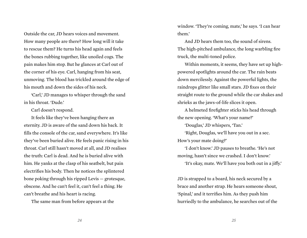Outside the car, JD hears voices and movement. How many people are there? How long will it take to rescue them? He turns his head again and feels the bones rubbing together, like unoiled cogs. The pain makes him stop. But he glances at Carl out of the corner of his eye. Carl, hanging from his seat, unmoving. The blood has trickled around the edge of his mouth and down the sides of his neck.

'Carl,' JD manages to whisper through the sand in his throat. 'Dude.'

Carl doesn't respond.

It feels like they've been hanging there an eternity. JD is aware of the sand down his back. It fills the console of the car, sand everywhere. It's like they've been buried alive. He feels panic rising in his throat. Carl still hasn't moved at all, and JD realises the truth: Carl is dead. And he is buried alive with him. He yanks at the clasp of his seatbelt, but pain electrifies his body. Then he notices the splintered bone poking through his ripped Levis — grotesque, obscene. And he can't feel it, can't feel a thing. He can't breathe and his heart is racing.

The same man from before appears at the

window. 'They're coming, mate,' he says. 'I can hear them.'

And JD hears them too, the sound of sirens. The high-pitched ambulance, the long warbling fire truck, the multi-toned police.

Within moments, it seems, they have set up highpowered spotlights around the car. The rain beats down mercilessly. Against the powerful lights, the raindrops glitter like small stars. JD fixes on their straight route to the ground while the car shakes and shrieks as the jaws-of-life slices it open.

A helmeted firefighter sticks his head through the new opening. 'What's your name?'

'Douglas,' JD whispers, 'Tan.'

'Right, Douglas, we'll have you out in a sec. How's your mate doing?'

'I don't know.' JD pauses to breathe. 'He's not moving, hasn't since we crashed. I don't know.'

'It's okay, mate. We'll have you both out in a jiffy.'

JD is strapped to a board, his neck secured by a brace and another strap. He hears someone shout, 'Spinal,' and it terrifies him. As they push him hurriedly to the ambulance, he searches out of the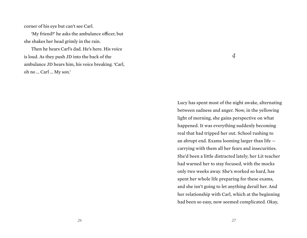corner of his eye but can't see Carl.

'My friend?' he asks the ambulance officer, but she shakes her head grimly in the rain.

Then he hears Carl's dad. He's here. His voice is loud. As they push JD into the back of the ambulance JD hears him, his voice breaking. 'Carl, oh no … Carl … My son.'

> Lucy has spent most of the night awake, alternating between sadness and anger. Now, in the yellowing light of morning, she gains perspective on what happened. It was everything suddenly becoming real that had tripped her out. School rushing to an abrupt end. Exams looming larger than life carrying with them all her fears and insecurities. She'd been a little distracted lately; her Lit teacher had warned her to stay focused, with the mocks only two weeks away. She's worked so hard, has spent her whole life preparing for these exams, and she isn't going to let anything derail her. And her relationship with Carl, which at the beginning had been so easy, now seemed complicated. Okay,

*4*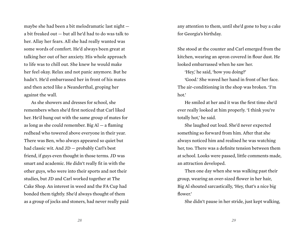maybe she had been a bit melodramatic last night a bit freaked out — but all he'd had to do was talk to her. Allay her fears. All she had really wanted was some words of comfort. He'd always been great at talking her out of her anxiety. His whole approach to life was to chill out. She knew he would make her feel okay. Relax and not panic anymore. But he hadn't. He'd embarrassed her in front of his mates and then acted like a Neanderthal, groping her against the wall.

As she showers and dresses for school, she remembers when she'd first noticed that Carl liked her. He'd hung out with the same group of mates for as long as she could remember. Big  $Al - a$  flaming redhead who towered above everyone in their year. There was Ben, who always appeared so quiet but had classic wit. And JD — probably Carl's best friend, if guys even thought in those terms. JD was smart and academic. He didn't really fit in with the other guys, who were into their sports and not their studies, but JD and Carl worked together at The Cake Shop. An interest in weed and the FA Cup had bonded them tightly. She'd always thought of them as a group of jocks and stoners, had never really paid

any attention to them, until she'd gone to buy a cake for Georgia's birthday.

She stood at the counter and Carl emerged from the kitchen, wearing an apron covered in flour dust. He looked embarrassed when he saw her.

'Hey,' he said, 'how you doing?'

'Good.' She waved her hand in front of her face. The air-conditioning in the shop was broken. 'I'm hot?

He smiled at her and it was the first time she'd ever really looked at him properly. 'I think you're totally hot,' he said.

She laughed out loud. She'd never expected something so forward from him. After that she always noticed him and realised he was watching her, too. There was a definite tension between them at school. Looks were passed, little comments made, an attraction developed.

Then one day when she was walking past their group, wearing an over-sized flower in her hair, Big Al shouted sarcastically, 'Hey, that's a nice big flower.'

She didn't pause in her stride, just kept walking,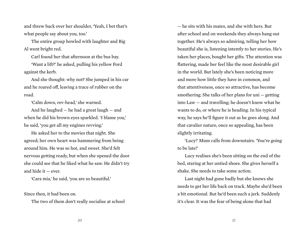and threw back over her shoulder, 'Yeah, I bet that's what people say about you, too.'

The entire group howled with laughter and Big Al went bright red.

Carl found her that afternoon at the bus bay. 'Want a lift?' he asked, pulling his yellow Ford against the kerb.

And she thought: why not? She jumped in his car and he roared off, leaving a trace of rubber on the road.

'Calm down, rev-head,' she warned.

And he laughed — he had a great laugh — and when he did his brown eyes sparkled. 'I blame you,' he said, 'you get all my engines revving.'

He asked her to the movies that night. She agreed; her own heart was hammering from being around him. He was so hot, and sweet. She'd felt nervous getting ready, but when she opened the door she could see that he liked what he saw. He didn't try and hide it — ever.

'Cara mia,' he said, 'you are so beautiful.'

Since then, it had been on.

The two of them don't really socialise at school

— he sits with his mates, and she with hers. But after school and on weekends they always hang out together. He's always so admiring, telling her how beautiful she is, listening intently to her stories. He's taken her places, bought her gifts. The attention was flattering, made her feel like the most desirable girl in the world. But lately she's been noticing more and more how little they have in common, and that attentiveness, once so attractive, has become smothering. She talks of her plans for uni — getting into Law — and travelling; he doesn't know what he wants to do, or where he is heading. In his typical way, he says he'll figure it out as he goes along. And that cavalier nature, once so appealing, has been slightly irritating.

'Lucy!' Mum calls from downstairs. 'You're going to be late!'

Lucy realises she's been sitting on the end of the bed, staring at her untied shoes. She gives herself a shake. She needs to take some action.

Last night had gone badly but she knows she needs to get her life back on track. Maybe she'd been a bit emotional. But he'd been such a jerk. Suddenly it's clear. It was the fear of being alone that had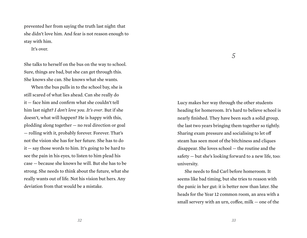prevented her from saying the truth last night: that she didn't love him. And fear is not reason enough to stay with him.

It's over.

She talks to herself on the bus on the way to school. Sure, things are bad, but she can get through this. She knows she can. She knows what she wants.

When the bus pulls in to the school bay, she is still scared of what lies ahead. Can she really do it — face him and confirm what she couldn't tell him last night? *I don't love you. It's over*. But if she doesn't, what will happen? He is happy with this, plodding along together — no real direction or goal — rolling with it, probably forever. Forever. That's not the vision she has for her future. She has to do it — say those words to him. It's going to be hard to see the pain in his eyes, to listen to him plead his case — because she knows he will. But she has to be strong. She needs to think about the future, what she really wants out of life. Not his vision but hers. Any deviation from that would be a mistake.

*5*

Lucy makes her way through the other students heading for homeroom. It's hard to believe school is nearly finished. They have been such a solid group, the last two years bringing them together so tightly. Sharing exam pressure and socialising to let off steam has seen most of the bitchiness and cliques disappear. She loves school — the routine and the safety — but she's looking forward to a new life, too: university.

She needs to find Carl before homeroom. It seems like bad timing, but she tries to reason with the panic in her gut: it is better now than later. She heads for the Year 12 common room, an area with a small servery with an urn, coffee, milk — one of the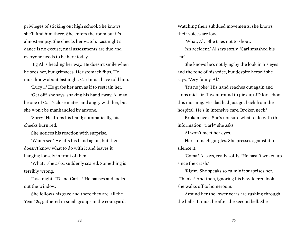privileges of sticking out high school. She knows she'll find him there. She enters the room but it's almost empty. She checks her watch. Last night's dance is no excuse; final assessments are due and everyone needs to be here today.

Big Al is heading her way. He doesn't smile when he sees her, but grimaces. Her stomach flips. He must know about last night. Carl must have told him.

'Lucy …' He grabs her arm as if to restrain her.

'Get off,' she says, shaking his hand away. Al may be one of Carl's close mates, and angry with her, but she won't be manhandled by anyone.

'Sorry.' He drops his hand; automatically, his cheeks burn red.

She notices his reaction with surprise.

'Wait a sec.' He lifts his hand again, but then doesn't know what to do with it and leaves it hanging loosely in front of them.

'What?' she asks, suddenly scared. Something is terribly wrong.

'Last night, JD and Carl …' He pauses and looks out the window.

She follows his gaze and there they are, all the Year 12s, gathered in small groups in the courtyard. Watching their subdued movements, she knows their voices are low.

'What, Al?' She tries not to shout.

'An accident,' Al says softly. 'Carl smashed his car.'

She knows he's not lying by the look in his eyes and the tone of his voice, but despite herself she says, 'Very funny, Al.'

'It's no joke.' His hand reaches out again and stops mid-air. 'I went round to pick up JD for school this morning. His dad had just got back from the hospital. He's in intensive care. Broken neck.'

Broken neck. She's not sure what to do with this information. 'Carl?' she asks.

Al won't meet her eyes.

Her stomach gurgles. She presses against it to silence it.

'Coma,' Al says, really softly. 'He hasn't woken up since the crash.'

'Right.' She speaks so calmly it surprises her. 'Thanks.' And then, ignoring his bewildered look, she walks off to homeroom.

Around her the lower years are rushing through the halls. It must be after the second bell. She